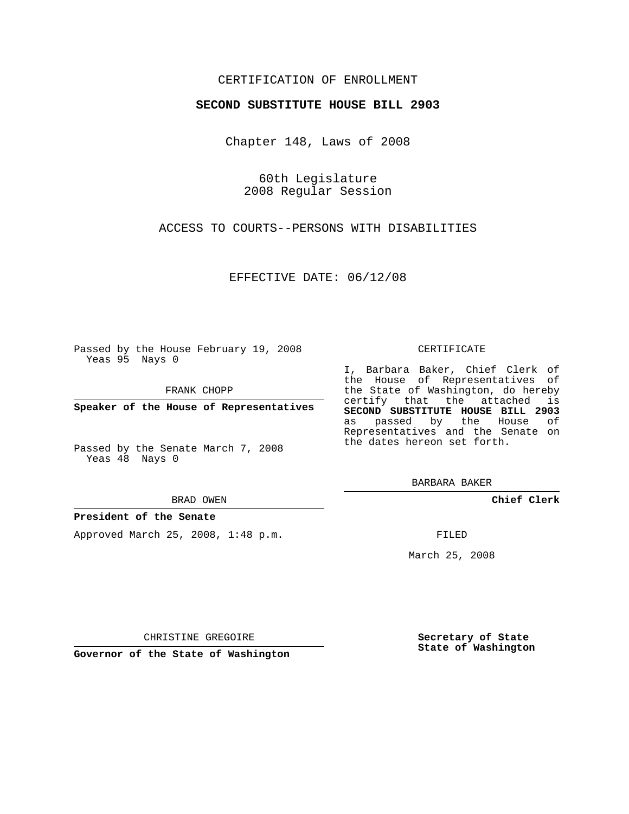## CERTIFICATION OF ENROLLMENT

### **SECOND SUBSTITUTE HOUSE BILL 2903**

Chapter 148, Laws of 2008

60th Legislature 2008 Regular Session

ACCESS TO COURTS--PERSONS WITH DISABILITIES

EFFECTIVE DATE: 06/12/08

Passed by the House February 19, 2008 Yeas 95 Nays 0

FRANK CHOPP

**Speaker of the House of Representatives**

Passed by the Senate March 7, 2008 Yeas 48 Nays 0

#### BRAD OWEN

### **President of the Senate**

Approved March 25, 2008, 1:48 p.m.

#### CERTIFICATE

I, Barbara Baker, Chief Clerk of the House of Representatives of the State of Washington, do hereby certify that the attached is **SECOND SUBSTITUTE HOUSE BILL 2903** as passed by the House of Representatives and the Senate on the dates hereon set forth.

BARBARA BAKER

**Chief Clerk**

FILED

March 25, 2008

CHRISTINE GREGOIRE

**Governor of the State of Washington**

**Secretary of State State of Washington**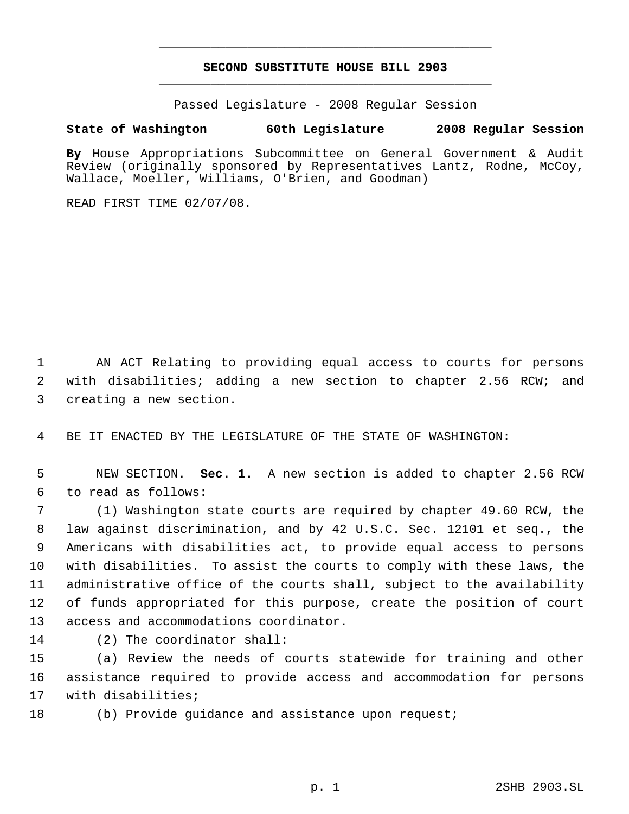# **SECOND SUBSTITUTE HOUSE BILL 2903** \_\_\_\_\_\_\_\_\_\_\_\_\_\_\_\_\_\_\_\_\_\_\_\_\_\_\_\_\_\_\_\_\_\_\_\_\_\_\_\_\_\_\_\_\_

\_\_\_\_\_\_\_\_\_\_\_\_\_\_\_\_\_\_\_\_\_\_\_\_\_\_\_\_\_\_\_\_\_\_\_\_\_\_\_\_\_\_\_\_\_

Passed Legislature - 2008 Regular Session

## **State of Washington 60th Legislature 2008 Regular Session**

**By** House Appropriations Subcommittee on General Government & Audit Review (originally sponsored by Representatives Lantz, Rodne, McCoy, Wallace, Moeller, Williams, O'Brien, and Goodman)

READ FIRST TIME 02/07/08.

 AN ACT Relating to providing equal access to courts for persons with disabilities; adding a new section to chapter 2.56 RCW; and creating a new section.

BE IT ENACTED BY THE LEGISLATURE OF THE STATE OF WASHINGTON:

 NEW SECTION. **Sec. 1.** A new section is added to chapter 2.56 RCW to read as follows:

 (1) Washington state courts are required by chapter 49.60 RCW, the law against discrimination, and by 42 U.S.C. Sec. 12101 et seq., the Americans with disabilities act, to provide equal access to persons with disabilities. To assist the courts to comply with these laws, the administrative office of the courts shall, subject to the availability of funds appropriated for this purpose, create the position of court access and accommodations coordinator.

(2) The coordinator shall:

 (a) Review the needs of courts statewide for training and other assistance required to provide access and accommodation for persons with disabilities;

(b) Provide guidance and assistance upon request;